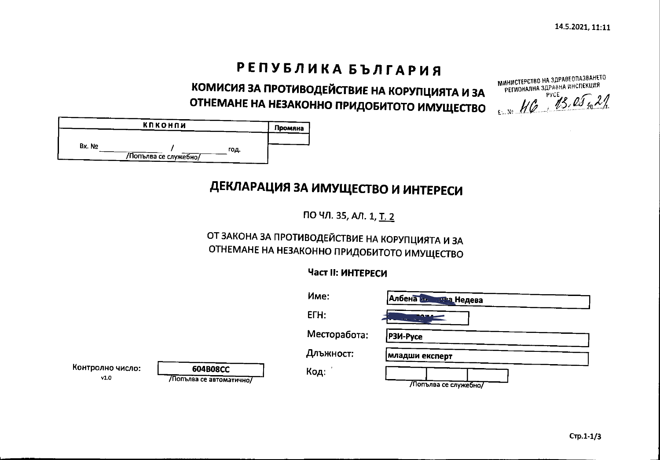# РЕПУБЛИКА БЪЛГАРИЯ

КОМИСИЯ ЗА ПРОТИВОДЕЙСТВИЕ НА КОРУПЦИЯТА И ЗА ОТНЕМАНЕ НА НЕЗАКОННО ПРИДОБИТОТО ИМУЩЕСТВО EXAMEMENT AND

| МИНИСТЕРСТВО НА ЗДРАВЕОПАЗВАНЕТО<br>РЕГИОНАЛНА ЗДРАВНА ИНСПЕКЦИЯ |
|------------------------------------------------------------------|
| 46 13.05.21                                                      |

|        | КПКОНПИ               |      | Промяна |
|--------|-----------------------|------|---------|
| Bx. No | /Попълва се служебно/ | год. |         |

# ДЕКЛАРАЦИЯ ЗА ИМУЩЕСТВО И ИНТЕРЕСИ

ПО ЧЛ. 35, АЛ. 1, Т. 2

## ОТ ЗАКОНА ЗА ПРОТИВОДЕЙСТВИЕ НА КОРУПЦИЯТА И ЗА ОТНЕМАНЕ НА НЕЗАКОННО ПРИДОБИТОТО ИМУЩЕСТВО

## Част II: ИНТЕРЕСИ

|                          |                                            | Име:         | Албена на<br><u>шва </u> Недева |
|--------------------------|--------------------------------------------|--------------|---------------------------------|
|                          |                                            | $ETH$ :      | 29 T.A.                         |
|                          |                                            | Месторабота: | P3M-Pyce                        |
|                          |                                            | Длъжност:    | младши експерт                  |
| Контролно число:<br>v1.0 | <b>604B08CC</b><br>Попълва се автоматично/ | Код:         | Лопълва се служебно/            |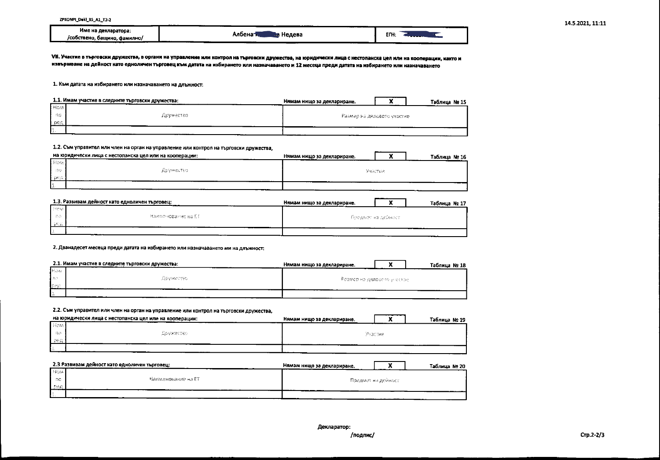|                                        | _______<br>$- - -$            |    |
|----------------------------------------|-------------------------------|----|
| Име на декларатора:                    |                               | EП |
| /собствено,<br>, бащино,<br>, фамилно/ | Албена <del>н</del><br>Недева |    |

VII. Участие в търговски дружества, в органи на управление или контрол на търговски дружества, на юридически лица с нестопанска цел или на кооперации, както и извършване на дейност като едноличен търговец към датата на избирането или назначаването и 12 месеца преди датата на избирането или назначаването

#### 1. Към датата на избирането или назначаването на длъжност:

|       | 1.1. Имам участие в следните търговски дружества: | Нямам нишо за деклариране. |  | Таблица № 15 |
|-------|---------------------------------------------------|----------------------------|--|--------------|
| HOM   |                                                   |                            |  |              |
| - 110 | Дружество:                                        | Размер на дяловото участие |  |              |
| pep   |                                                   |                            |  |              |
| ٤.    |                                                   |                            |  |              |

#### 1.2. Съм управител или член на орган на управление или контрол на търговски дружества,

|              | на юридически лица с нестопанска цел или на кооперации: | Нямам нищо за деклариране. |          | Таблица № 16 |
|--------------|---------------------------------------------------------|----------------------------|----------|--------------|
| <b>THOM</b>  |                                                         |                            |          |              |
| ាន           | Aliyakeutso l                                           |                            | Vaacrise |              |
| -pen         |                                                         |                            |          |              |
| $\mathbf{r}$ |                                                         |                            |          |              |

| ____  | 1.3. Развивам дейност като едноличен търговец: | Нямам нишо за деклариране. |  | Таблица № 17 |
|-------|------------------------------------------------|----------------------------|--|--------------|
| l How |                                                |                            |  |              |
| - no  | -Наименование на ЕЕ-                           | -Предмет на дейност.       |  |              |
| 1902  |                                                |                            |  |              |
|       |                                                |                            |  |              |

#### 2. Дванадесет месеца преди датата на избирането или назначаването ми на длъжност:

|            | 2.1. Имам участие в следните търговски дружества: | Нямам нищо за деклариране.    |  | Таблица № 18 |
|------------|---------------------------------------------------|-------------------------------|--|--------------|
| <b>Has</b> |                                                   |                               |  |              |
| l bo       | ДРУЖССТВО                                         | - Размор на двловето знастра- |  |              |
| ISP0       |                                                   |                               |  |              |
|            |                                                   |                               |  |              |

#### 2.2. Съм управител или член на орган на управление или контрол на търговски дружества,

|            | на юридически лица с нестопанска цел или на кооперации: | Нямам нищо за деклариране. |  | Таблица № 19 |
|------------|---------------------------------------------------------|----------------------------|--|--------------|
| Heter      |                                                         |                            |  |              |
| - 130      | Дружество                                               | Участие:                   |  |              |
| <b>SED</b> |                                                         |                            |  |              |
|            |                                                         |                            |  |              |

|            | 2.3 Развивам дейност като едноличен търговец: | Нямам нишо за деклариране. |  | Таблица № 20 |
|------------|-----------------------------------------------|----------------------------|--|--------------|
| <b>HOM</b> |                                               |                            |  |              |
| ' no       | Наименование на ЕТ-                           | Предмет на дейност-        |  |              |
| l peg      |                                               |                            |  |              |
| .          |                                               |                            |  |              |